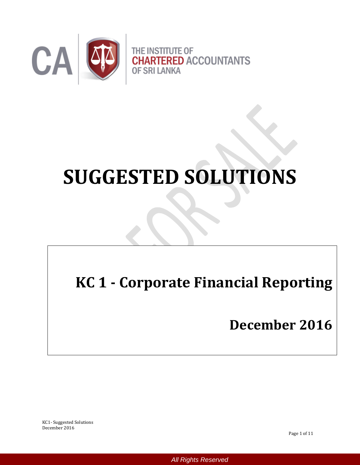

# **SUGGESTED SOLUTIONS**

# **KC 1 - Corporate Financial Reporting**

# **December 2016**

KC1- Suggested Solutions December 2016

Page 1 of 11

*All Rights Reserved*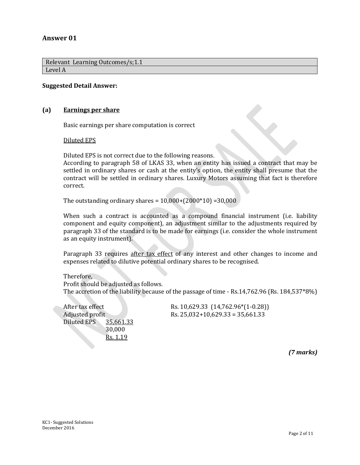# **Answer 01**

Relevant Learning Outcomes/s;1.1 Level A

#### **Suggested Detail Answer:**

#### **(a) Earnings per share**

Basic earnings per share computation is correct

Diluted EPS

Diluted EPS is not correct due to the following reasons.

According to paragraph 58 of LKAS 33, when an entity has issued a contract that may be settled in ordinary shares or cash at the entity's option, the entity shall presume that the contract will be settled in ordinary shares. Luxury Motors assuming that fact is therefore correct.

The outstanding ordinary shares =  $10,000+(2000*10)$  =  $30,000$ 

When such a contract is accounted as a compound financial instrument (i.e. liability component and equity component), an adjustment similar to the adjustments required by paragraph 33 of the standard is to be made for earnings (i.e. consider the whole instrument as an equity instrument).

Paragraph 33 requires after tax effect of any interest and other changes to income and expenses related to dilutive potential ordinary shares to be recognised.

Therefore,

Profit should be adjusted as follows. The accretion of the liability because of the passage of time - Rs.14,762.96 (Rs. 184,537\*8%)

| After tax effect |           | Rs. 10,629.33 (14,762.96*(1-0.28)) |
|------------------|-----------|------------------------------------|
| Adjusted profit  |           | Rs. $25,032+10,629.33 = 35,661.33$ |
| Diluted EPS      | 35,661.33 |                                    |
|                  | 30,000    |                                    |
|                  | Rs. 1.19  |                                    |

*(7 marks)*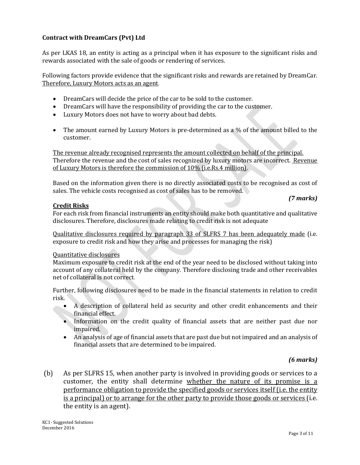# **Contract with DreamCars (Pvt) Ltd**

As per LKAS 18, an entity is acting as a principal when it has exposure to the significant risks and rewards associated with the sale of goods or rendering of services.

Following factors provide evidence that the significant risks and rewards are retained by DreamCar. Therefore, Luxury Motors acts as an agent*.* 

- DreamCars will decide the price of the car to be sold to the customer.
- DreamCars will have the responsibility of providing the car to the customer.
- Luxury Motors does not have to worry about bad debts.
- The amount earned by Luxury Motors is pre-determined as a % of the amount billed to the customer.

The revenue already recognised represents the amount collected on behalf of the principal. Therefore the revenue and the cost of sales recognized by luxury motors are incorrect. Revenue of Luxury Motors is therefore the commission of 10% (i.e.Rs.4 million).

Based on the information given there is no directly associated costs to be recognised as cost of sales. The vehicle costs recognised as cost of sales has to be removed.

# **Credit Risks**

For each risk from financial instruments an entity should make both quantitative and qualitative disclosures. Therefore, disclosures made relating to credit risk is not adequate

Qualitative disclosures required by paragraph 33 of SLFRS 7 has been adequately made (i.e. exposure to credit risk and how they arise and processes for managing the risk)

#### Quantitative disclosures

Maximum exposure to credit risk at the end of the year need to be disclosed without taking into account of any collateral held by the company. Therefore disclosing trade and other receivables net of collateral is not correct*.* 

Further, following disclosures need to be made in the financial statements in relation to credit risk.

- A description of collateral held as security and other credit enhancements and their financial effect.
- Information on the credit quality of financial assets that are neither past due nor impaired.
- An analysis of age of financial assets that are past due but not impaired and an analysis of financial assets that are determined to be impaired.

# *(6 marks)*

*(7 marks)*

(b) As per SLFRS 15, when another party is involved in providing goods or services to a customer, the entity shall determine whether the nature of its promise is a performance obligation to provide the specified goods or services itself (i.e. the entity is a principal) or to arrange for the other party to provide those goods or services (i.e. the entity is an agent).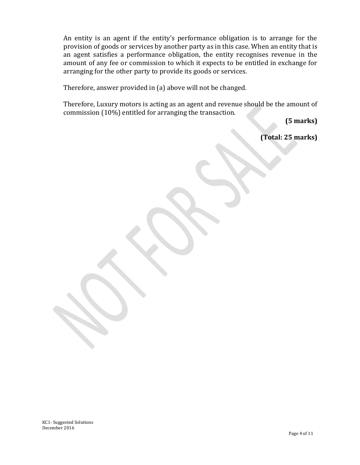An entity is an agent if the entity's performance obligation is to arrange for the provision of goods or services by another party as in this case. When an entity that is an agent satisfies a performance obligation, the entity recognises revenue in the amount of any fee or commission to which it expects to be entitled in exchange for arranging for the other party to provide its goods or services.

Therefore, answer provided in (a) above will not be changed.

Therefore, Luxury motors is acting as an agent and revenue should be the amount of commission (10%) entitled for arranging the transaction.

 **(5 marks)**

**(Total: 25 marks)**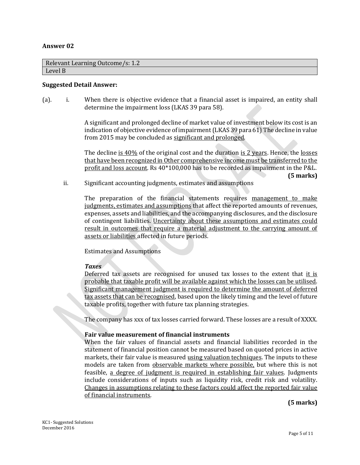#### **Answer 02**

| Relevant Learning Outcome/s: 1.2 |  |
|----------------------------------|--|
| Level B                          |  |

#### **Suggested Detail Answer:**

(a). i. When there is objective evidence that a financial asset is impaired, an entity shall determine the impairment loss (LKAS 39 para 58).

> A significant and prolonged decline of market value of investment below its cost is an indication of objective evidence of impairment (LKAS 39 para 61) The decline in value from 2015 may be concluded as significant and prolonged.

> The decline is  $40\%$  of the original cost and the duration is 2 years. Hence, the losses that have been recognized in Other comprehensive income must be transferred to the profit and loss account. Rs 40\*100,000 has to be recorded as impairment in the P&L. **(5 marks)**

ii. Significant accounting judgments, estimates and assumptions

The preparation of the financial statements requires management to make judgments, estimates and assumptions that affect the reported amounts of revenues, expenses, assets and liabilities, and the accompanying disclosures, and the disclosure of contingent liabilities. Uncertainty about these assumptions and estimates could result in outcomes that require a material adjustment to the carrying amount of assets or liabilities affected in future periods.

Estimates and Assumptions

#### *Taxes*

Deferred tax assets are recognised for unused tax losses to the extent that it is probable that taxable profit will be available against which the losses can be utilised. Significant management judgment is required to determine the amount of deferred tax assets that can be recognised, based upon the likely timing and the level of future taxable profits, together with future tax planning strategies.

The company has xxx of tax losses carried forward. These losses are a result of XXXX.

#### **Fair value measurement of financial instruments**

When the fair values of financial assets and financial liabilities recorded in the statement of financial position cannot be measured based on quoted prices in active markets, their fair value is measured using valuation techniques. The inputs to these models are taken from observable markets where possible, but where this is not feasible, a degree of judgment is required in establishing fair values. Judgments include considerations of inputs such as liquidity risk, credit risk and volatility. Changes in assumptions relating to these factors could affect the reported fair value of financial instruments.

**(5 marks)**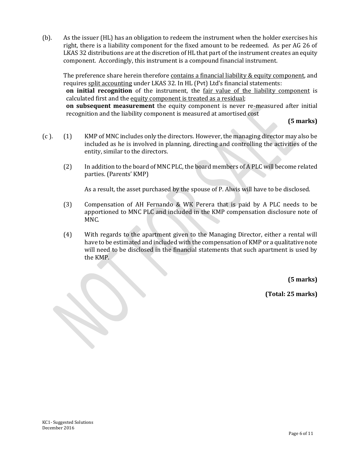(b). As the issuer (HL) has an obligation to redeem the instrument when the holder exercises his right, there is a liability component for the fixed amount to be redeemed. As per AG 26 of LKAS 32 distributions are at the discretion of HL that part of the instrument creates an equity component. Accordingly, this instrument is a compound financial instrument.

The preference share herein therefore contains a financial liability & equity component, and requires split accounting under LKAS 32. In HL (Pvt) Ltd's financial statements: **on initial recognition** of the instrument, the fair value of the liability component is calculated first and the equity component is treated as a residual; **on subsequent measurement** the equity component is never re-measured after initial

recognition and the liability component is measured at amortised cost

**(5 marks)**

- (c ). (1) KMP of MNC includes only the directors. However, the managing director may also be included as he is involved in planning, directing and controlling the activities of the entity, similar to the directors.
	- (2) In addition to the board of MNC PLC, the board members of A PLC will become related parties. (Parents' KMP)

As a result, the asset purchased by the spouse of P. Alwis will have to be disclosed.

- (3) Compensation of AH Fernando & WK Perera that is paid by A PLC needs to be apportioned to MNC PLC and included in the KMP compensation disclosure note of MNC.
- (4) With regards to the apartment given to the Managing Director, either a rental will have to be estimated and included with the compensation of KMP or a qualitative note will need to be disclosed in the financial statements that such apartment is used by the KMP.

**(5 marks)**

**(Total: 25 marks)**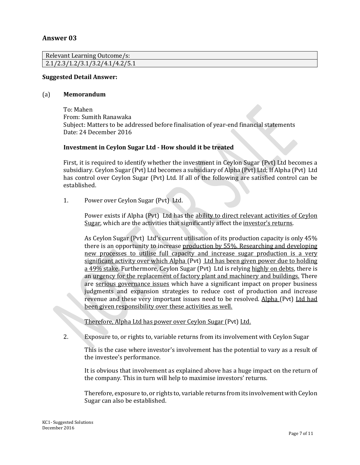# **Answer 03**

| Relevant Learning Outcome/s:    |  |
|---------------------------------|--|
| 2.1/2.3/1.2/3.1/3.2/4.1/4.2/5.1 |  |

#### **Suggested Detail Answer:**

#### (a) **Memorandum**

To: Mahen From: Sumith Ranawaka Subject: Matters to be addressed before finalisation of year-end financial statements Date: 24 December 2016

#### **Investment in Ceylon Sugar Ltd - How should it be treated**

First, it is required to identify whether the investment in Ceylon Sugar (Pvt) Ltd becomes a subsidiary. Ceylon Sugar (Pvt) Ltd becomes a subsidiary of Alpha (Pvt) Ltd; If Alpha (Pvt) Ltd has control over Ceylon Sugar (Pvt) Ltd. If all of the following are satisfied control can be established.

1. Power over Ceylon Sugar (Pvt) Ltd.

Power exists if Alpha (Pvt) Ltd has the ability to direct relevant activities of Ceylon Sugar, which are the activities that significantly affect the investor's returns.

As Ceylon Sugar (Pvt) Ltd's current utilisation of its production capacity is only 45% there is an opportunity to increase production by 55%. Researching and developing new processes to utilise full capacity and increase sugar production is a very significant activity over which Alpha (Pvt) Ltd has been given power due to holding a 49% stake. Furthermore, Ceylon Sugar (Pvt) Ltd is relying highly on debts, there is an urgency for the replacement of factory plant and machinery and buildings. There are serious governance issues which have a significant impact on proper business judgments and expansion strategies to reduce cost of production and increase revenue and these very important issues need to be resolved. Alpha (Pvt) Ltd had been given responsibility over these activities as well.

Therefore, Alpha Ltd has power over Ceylon Sugar (Pvt) Ltd.

2. Exposure to, or rights to, variable returns from its involvement with Ceylon Sugar

This is the case where investor's involvement has the potential to vary as a result of the investee's performance.

It is obvious that involvement as explained above has a huge impact on the return of the company. This in turn will help to maximise investors' returns.

Therefore, exposure to, or rights to, variable returns from its involvement with Ceylon Sugar can also be established.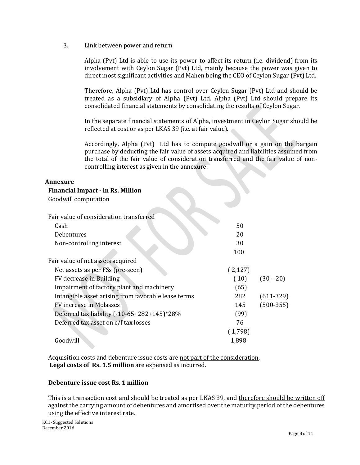3. Link between power and return

Alpha (Pvt) Ltd is able to use its power to affect its return (i.e. dividend) from its involvement with Ceylon Sugar (Pvt) Ltd, mainly because the power was given to direct most significant activities and Mahen being the CEO of Ceylon Sugar (Pvt) Ltd.

Therefore, Alpha (Pvt) Ltd has control over Ceylon Sugar (Pvt) Ltd and should be treated as a subsidiary of Alpha (Pvt) Ltd. Alpha (Pvt) Ltd should prepare its consolidated financial statements by consolidating the results of Ceylon Sugar.

In the separate financial statements of Alpha, investment in Ceylon Sugar should be reflected at cost or as per LKAS 39 (i.e. at fair value).

Accordingly, Alpha (Pvt) Ltd has to compute goodwill or a gain on the bargain purchase by deducting the fair value of assets acquired and liabilities assumed from the total of the fair value of consideration transferred and the fair value of noncontrolling interest as given in the annexure.

# **Annexure**

**Financial Impact - in Rs. Million**

| Goodwill computation                                |         |             |
|-----------------------------------------------------|---------|-------------|
| Fair value of consideration transferred             |         |             |
| Cash                                                | 50      |             |
| Debentures                                          | 20      |             |
| Non-controlling interest                            | 30      |             |
|                                                     | 100     |             |
| Fair value of net assets acquired                   |         |             |
| Net assets as per FSs (pre-seen)                    | (2,127) |             |
| FV decrease in Building                             | (10)    | $(30 - 20)$ |
| Impairment of factory plant and machinery           | (65)    |             |
| Intangible asset arising from favorable lease terms | 282     | $(611-329)$ |
| FV increase in Molasses                             | 145     | $(500-355)$ |
| Deferred tax liability (-10-65+282+145)*28%         | (99)    |             |
| Deferred tax asset on c/f tax losses                | 76      |             |
|                                                     | (1,798) |             |
| Goodwill                                            | 1,898   |             |
|                                                     |         |             |

Acquisition costs and debenture issue costs are not part of the consideration. **Legal costs of Rs. 1.5 million** are expensed as incurred.

# **Debenture issue cost Rs. 1 million**

This is a transaction cost and should be treated as per LKAS 39, and therefore should be written off against the carrying amount of debentures and amortised over the maturity period of the debentures using the effective interest rate*.*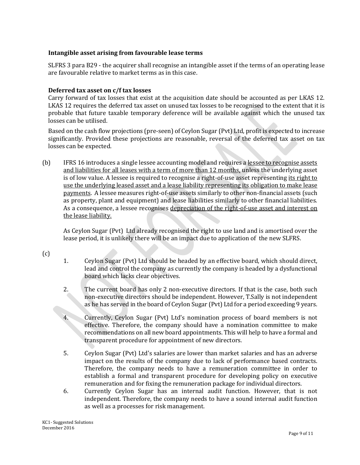# **Intangible asset arising from favourable lease terms**

SLFRS 3 para B29 - the acquirer shall recognise an intangible asset if the terms of an operating lease are favourable relative to market terms as in this case.

# **Deferred tax asset on c/f tax losses**

Carry forward of tax losses that exist at the acquisition date should be accounted as per LKAS 12. LKAS 12 requires the deferred tax asset on unused tax losses to be recognised to the extent that it is probable that future taxable temporary deference will be available against which the unused tax losses can be utilised.

Based on the cash flow projections (pre-seen) of Ceylon Sugar (Pvt) Ltd, profit is expected to increase significantly. Provided these projections are reasonable, reversal of the deferred tax asset on tax losses can be expected.

(b) IFRS 16 introduces a single lessee accounting model and requires a lessee to recognise assets and liabilities for all leases with a term of more than 12 months, unless the underlying asset is of low value. A lessee is required to recognise a right-of-use asset representing its right to use the underlying leased asset and a lease liability representing its obligation to make lease payments. A lessee measures right-of-use assets similarly to other non-financial assets (such as property, plant and equipment) and lease liabilities similarly to other financial liabilities. As a consequence, a lessee recognises depreciation of the right-of-use asset and interest on the lease liability.

As Ceylon Sugar (Pvt) Ltd already recognised the right to use land and is amortised over the lease period, it is unlikely there will be an impact due to application of the new SLFRS.

(c)

- 1. Ceylon Sugar (Pvt) Ltd should be headed by an effective board, which should direct, lead and control the company as currently the company is headed by a dysfunctional board which lacks clear objectives.
- 2. The current board has only 2 non-executive directors. If that is the case, both such non-executive directors should be independent. However, T.Sally is not independent as he has served in the board of Ceylon Sugar (Pvt) Ltd for a period exceeding 9 years.
- 4. Currently, Ceylon Sugar (Pvt) Ltd's nomination process of board members is not effective. Therefore, the company should have a nomination committee to make recommendations on all new board appointments. This will help to have a formal and transparent procedure for appointment of new directors.
- 5. Ceylon Sugar (Pvt) Ltd's salaries are lower than market salaries and has an adverse impact on the results of the company due to lack of performance based contracts. Therefore, the company needs to have a remuneration committee in order to establish a formal and transparent procedure for developing policy on executive remuneration and for fixing the remuneration package for individual directors.
- 6. Currently Ceylon Sugar has an internal audit function. However, that is not independent. Therefore, the company needs to have a sound internal audit function as well as a processes for risk management.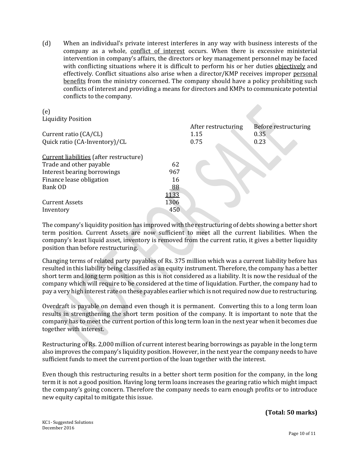(d) When an individual's private interest interferes in any way with business interests of the company as a whole, conflict of interest occurs. When there is excessive ministerial intervention in company's affairs, the directors or key management personnel may be faced with conflicting situations where it is difficult to perform his or her duties objectively and effectively. Conflict situations also arise when a director/KMP receives improper personal benefits from the ministry concerned. The company should have a policy prohibiting such conflicts of interest and providing a means for directors and KMPs to communicate potential conflicts to the company.

| (e)                                     |      |                     |                      |
|-----------------------------------------|------|---------------------|----------------------|
| <b>Liquidity Position</b>               |      |                     |                      |
|                                         |      | After restructuring | Before restructuring |
| Current ratio (CA/CL)                   |      | 1.15                | 0.35                 |
| Quick ratio (CA-Inventory)/CL           |      | 0.75                | 0.23                 |
|                                         |      |                     |                      |
| Current liabilities (after restructure) |      |                     |                      |
| Trade and other payable                 | 62   |                     |                      |
| Interest bearing borrowings             | 967  |                     |                      |
| Finance lease obligation                | 16   |                     |                      |
| Bank OD                                 | 88   |                     |                      |
|                                         | 1133 |                     |                      |
| <b>Current Assets</b>                   | 1306 |                     |                      |
| Inventory                               | 450  |                     |                      |
|                                         |      |                     |                      |

The company's liquidity position has improved with the restructuring of debts showing a better short term position. Current Assets are now sufficient to meet all the current liabilities. When the company's least liquid asset, inventory is removed from the current ratio, it gives a better liquidity position than before restructuring.

Changing terms of related party payables of Rs. 375 million which was a current liability before has resulted in this liability being classified as an equity instrument. Therefore, the company has a better short term and long term position as this is not considered as a liability. It is now the residual of the company which will require to be considered at the time of liquidation. Further, the company had to pay a very high interest rate on these payables earlier which is not required now due to restructuring.

Overdraft is payable on demand even though it is permanent. Converting this to a long term loan results in strengthening the short term position of the company. It is important to note that the company has to meet the current portion of this long term loan in the next year when it becomes due together with interest.

Restructuring of Rs. 2,000 million of current interest bearing borrowings as payable in the long term also improves the company's liquidity position. However, in the next year the company needs to have sufficient funds to meet the current portion of the loan together with the interest.

Even though this restructuring results in a better short term position for the company, in the long term it is not a good position. Having long term loans increases the gearing ratio which might impact the company's going concern. Therefore the company needs to earn enough profits or to introduce new equity capital to mitigate this issue.

**(Total: 50 marks)**

KC1- Suggested Solutions December 2016